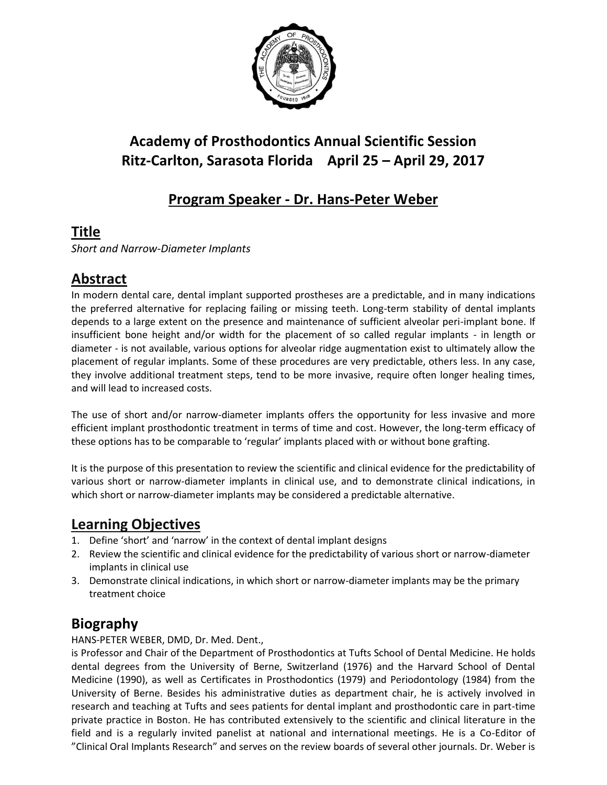

# **Academy of Prosthodontics Annual Scientific Session Ritz-Carlton, Sarasota Florida April 25 – April 29, 2017**

## **Program Speaker - Dr. Hans-Peter Weber**

#### **Title**

*Short and Narrow-Diameter Implants*

### **Abstract**

In modern dental care, dental implant supported prostheses are a predictable, and in many indications the preferred alternative for replacing failing or missing teeth. Long-term stability of dental implants depends to a large extent on the presence and maintenance of sufficient alveolar peri-implant bone. If insufficient bone height and/or width for the placement of so called regular implants - in length or diameter - is not available, various options for alveolar ridge augmentation exist to ultimately allow the placement of regular implants. Some of these procedures are very predictable, others less. In any case, they involve additional treatment steps, tend to be more invasive, require often longer healing times, and will lead to increased costs.

The use of short and/or narrow-diameter implants offers the opportunity for less invasive and more efficient implant prosthodontic treatment in terms of time and cost. However, the long-term efficacy of these options has to be comparable to 'regular' implants placed with or without bone grafting.

It is the purpose of this presentation to review the scientific and clinical evidence for the predictability of various short or narrow-diameter implants in clinical use, and to demonstrate clinical indications, in which short or narrow-diameter implants may be considered a predictable alternative.

#### **Learning Objectives**

- 1. Define 'short' and 'narrow' in the context of dental implant designs
- 2. Review the scientific and clinical evidence for the predictability of various short or narrow-diameter implants in clinical use
- 3. Demonstrate clinical indications, in which short or narrow-diameter implants may be the primary treatment choice

### **Biography**

#### HANS-PETER WEBER, DMD, Dr. Med. Dent.,

is Professor and Chair of the Department of Prosthodontics at Tufts School of Dental Medicine. He holds dental degrees from the University of Berne, Switzerland (1976) and the Harvard School of Dental Medicine (1990), as well as Certificates in Prosthodontics (1979) and Periodontology (1984) from the University of Berne. Besides his administrative duties as department chair, he is actively involved in research and teaching at Tufts and sees patients for dental implant and prosthodontic care in part-time private practice in Boston. He has contributed extensively to the scientific and clinical literature in the field and is a regularly invited panelist at national and international meetings. He is a Co-Editor of "Clinical Oral Implants Research" and serves on the review boards of several other journals. Dr. Weber is